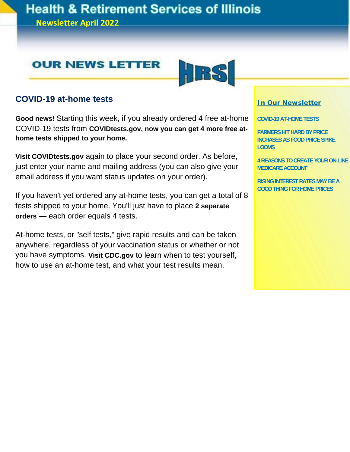## **Health & Retirement Services of Illinois**

**Newsletter April 2022**





### **COVID-19 at-home tests**

**Good news!** Starting this week, if you already ordered 4 free at-home COVID-19 tests from **COVIDtests.gov, now you can get 4 more free athome tests shipped to your home.** 

**Visit COVIDtests.gov** again to place your second order. As before, just enter your name and mailing address (you can also give your email address if you want status updates on your order).

If you haven't yet ordered any at-home tests, you can get a total of 8 tests shipped to your home. You'll just have to place **2 separate orders** — each order equals 4 tests.

At-home tests, or "self tests," give rapid results and can be taken anywhere, regardless of your vaccination status or whether or not you have symptoms. **Visit CDC.gov** to learn when to test yourself, how to use an at-home test, and what your test results mean.

#### **In Our Newsletter**

**COVID-19 AT-HOME TESTS** 

**FARMERS HIT HARD BY PRICE INCRASES AS FOOD PRICE SPIKE LOOMS** 

**4 REASONS TO CREATE YOUR ON-LINE MEDICARE ACCOUNT** 

**RISING INTEREST RATES MAY BE A GOOD THING FOR HOME PRICES**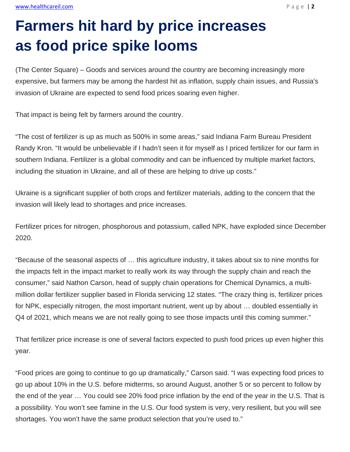## **Farmers hit hard by price increases as food price spike looms**

(The Center Square) – Goods and services around the country are becoming increasingly more expensive, but farmers may be among the hardest hit as inflation, supply chain issues, and Russia's invasion of Ukraine are expected to send food prices soaring even higher.

That impact is being felt by farmers around the country.

"The cost of fertilizer is up as much as 500% in some areas," said Indiana Farm Bureau President Randy Kron. "It would be unbelievable if I hadn't seen it for myself as I priced fertilizer for our farm in southern Indiana. Fertilizer is a global commodity and can be influenced by multiple market factors, including the situation in Ukraine, and all of these are helping to drive up costs."

Ukraine is a significant supplier of both crops and fertilizer materials, adding to the concern that the invasion will likely lead to shortages and price increases.

Fertilizer prices for nitrogen, phosphorous and potassium, called NPK, have exploded since December 2020.

"Because of the seasonal aspects of … this agriculture industry, it takes about six to nine months for the impacts felt in the impact market to really work its way through the supply chain and reach the consumer," said Nathon Carson, head of supply chain operations for Chemical Dynamics, a multimillion dollar fertilizer supplier based in Florida servicing 12 states. "The crazy thing is, fertilizer prices for NPK, especially nitrogen, the most important nutrient, went up by about … doubled essentially in Q4 of 2021, which means we are not really going to see those impacts until this coming summer."

That fertilizer price increase is one of several factors expected to push food prices up even higher this year.

"Food prices are going to continue to go up dramatically," Carson said. "I was expecting food prices to go up about 10% in the U.S. before midterms, so around August, another 5 or so percent to follow by the end of the year … You could see 20% food price inflation by the end of the year in the U.S. That is a possibility. You won't see famine in the U.S. Our food system is very, very resilient, but you will see shortages. You won't have the same product selection that you're used to."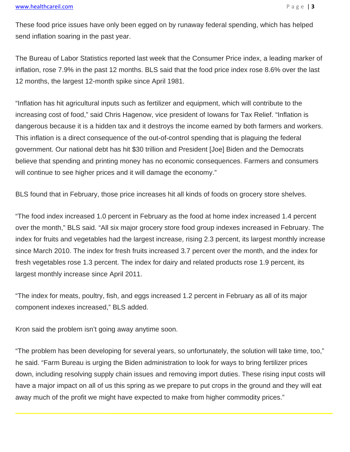These food price issues have only been egged on by runaway federal spending, which has helped send inflation soaring in the past year.

The Bureau of Labor Statistics reported last week that the Consumer Price index, a leading marker of inflation, rose 7.9% in the past 12 months. BLS said that the food price index rose 8.6% over the last 12 months, the largest 12-month spike since April 1981.

"Inflation has hit agricultural inputs such as fertilizer and equipment, which will contribute to the increasing cost of food," said Chris Hagenow, vice president of Iowans for Tax Relief. "Inflation is dangerous because it is a hidden tax and it destroys the income earned by both farmers and workers. This inflation is a direct consequence of the out-of-control spending that is plaguing the federal government. Our national debt has hit \$30 trillion and President [Joe] Biden and the Democrats believe that spending and printing money has no economic consequences. Farmers and consumers will continue to see higher prices and it will damage the economy."

BLS found that in February, those price increases hit all kinds of foods on grocery store shelves.

"The food index increased 1.0 percent in February as the food at home index increased 1.4 percent over the month," BLS said. "All six major grocery store food group indexes increased in February. The index for fruits and vegetables had the largest increase, rising 2.3 percent, its largest monthly increase since March 2010. The index for fresh fruits increased 3.7 percent over the month, and the index for fresh vegetables rose 1.3 percent. The index for dairy and related products rose 1.9 percent, its largest monthly increase since April 2011.

"The index for meats, poultry, fish, and eggs increased 1.2 percent in February as all of its major component indexes increased," BLS added.

Kron said the problem isn't going away anytime soon.

"The problem has been developing for several years, so unfortunately, the solution will take time, too," he said. "Farm Bureau is urging the Biden administration to look for ways to bring fertilizer prices down, including resolving supply chain issues and removing import duties. These rising input costs will have a major impact on all of us this spring as we prepare to put crops in the ground and they will eat away much of the profit we might have expected to make from higher commodity prices."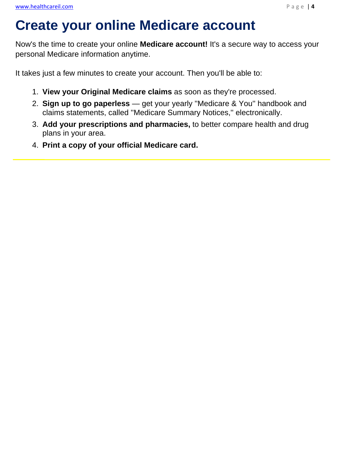### **Create your online Medicare account**

Now's the time to create your online **Medicare account!** It's a secure way to access your personal Medicare information anytime.

It takes just a few minutes to create your account. Then you'll be able to:

- 1. **View your Original Medicare claims** as soon as they're processed.
- 2. **Sign up to go paperless**  get your yearly ''Medicare & You'' handbook and claims statements, called ''Medicare Summary Notices,'' electronically.
- 3. **Add your prescriptions and pharmacies,** to better compare health and drug plans in your area.
- 4. **Print a copy of your official Medicare card.**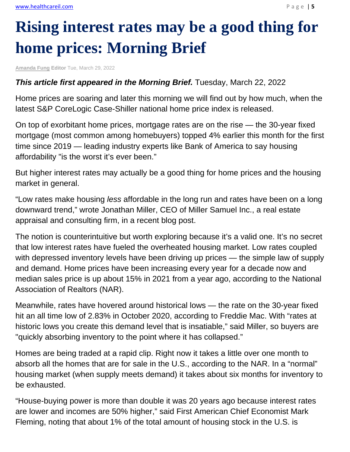# **Rising interest rates may be a good thing for home prices: Morning Brief**

**Amanda Fung Editor** Tue, March 29, 2022

#### **This article first appeared in the Morning Brief.** Tuesday, March 22, 2022

Home prices are soaring and later this morning we will find out by how much, when the latest S&P CoreLogic Case-Shiller national home price index is released.

On top of exorbitant home prices, mortgage rates are on the rise — the 30-year fixed mortgage (most common among homebuyers) topped 4% earlier this month for the first time since 2019 — leading industry experts like Bank of America to say housing affordability "is the worst it's ever been."

But higher interest rates may actually be a good thing for home prices and the housing market in general.

"Low rates make housing *less* affordable in the long run and rates have been on a long downward trend," wrote Jonathan Miller, CEO of Miller Samuel Inc., a real estate appraisal and consulting firm, in a recent blog post.

The notion is counterintuitive but worth exploring because it's a valid one. It's no secret that low interest rates have fueled the overheated housing market. Low rates coupled with depressed inventory levels have been driving up prices — the simple law of supply and demand. Home prices have been increasing every year for a decade now and median sales price is up about 15% in 2021 from a year ago, according to the National Association of Realtors (NAR).

Meanwhile, rates have hovered around historical lows — the rate on the 30-year fixed hit an all time low of 2.83% in October 2020, according to Freddie Mac. With "rates at historic lows you create this demand level that is insatiable," said Miller, so buyers are "quickly absorbing inventory to the point where it has collapsed."

Homes are being traded at a rapid clip. Right now it takes a little over one month to absorb all the homes that are for sale in the U.S., according to the NAR. In a "normal" housing market (when supply meets demand) it takes about six months for inventory to be exhausted.

"House-buying power is more than double it was 20 years ago because interest rates are lower and incomes are 50% higher," said First American Chief Economist Mark Fleming, noting that about 1% of the total amount of housing stock in the U.S. is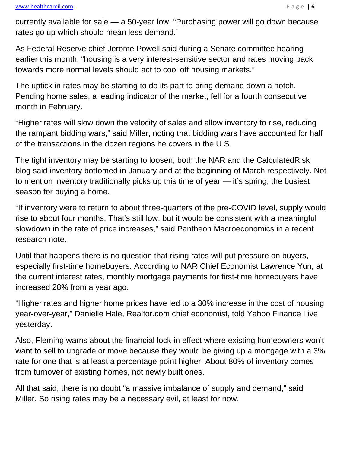currently available for sale — a 50-year low. "Purchasing power will go down because rates go up which should mean less demand."

As Federal Reserve chief Jerome Powell said during a Senate committee hearing earlier this month, "housing is a very interest-sensitive sector and rates moving back towards more normal levels should act to cool off housing markets."

The uptick in rates may be starting to do its part to bring demand down a notch. Pending home sales, a leading indicator of the market, fell for a fourth consecutive month in February.

"Higher rates will slow down the velocity of sales and allow inventory to rise, reducing the rampant bidding wars," said Miller, noting that bidding wars have accounted for half of the transactions in the dozen regions he covers in the U.S.

The tight inventory may be starting to loosen, both the NAR and the CalculatedRisk blog said inventory bottomed in January and at the beginning of March respectively. Not to mention inventory traditionally picks up this time of year — it's spring, the busiest season for buying a home.

"If inventory were to return to about three-quarters of the pre-COVID level, supply would rise to about four months. That's still low, but it would be consistent with a meaningful slowdown in the rate of price increases," said Pantheon Macroeconomics in a recent research note.

Until that happens there is no question that rising rates will put pressure on buyers, especially first-time homebuyers. According to NAR Chief Economist Lawrence Yun, at the current interest rates, monthly mortgage payments for first-time homebuyers have increased 28% from a year ago.

"Higher rates and higher home prices have led to a 30% increase in the cost of housing year-over-year," Danielle Hale, Realtor.com chief economist, told Yahoo Finance Live yesterday.

Also, Fleming warns about the financial lock-in effect where existing homeowners won't want to sell to upgrade or move because they would be giving up a mortgage with a 3% rate for one that is at least a percentage point higher. About 80% of inventory comes from turnover of existing homes, not newly built ones.

All that said, there is no doubt "a massive imbalance of supply and demand," said Miller. So rising rates may be a necessary evil, at least for now.